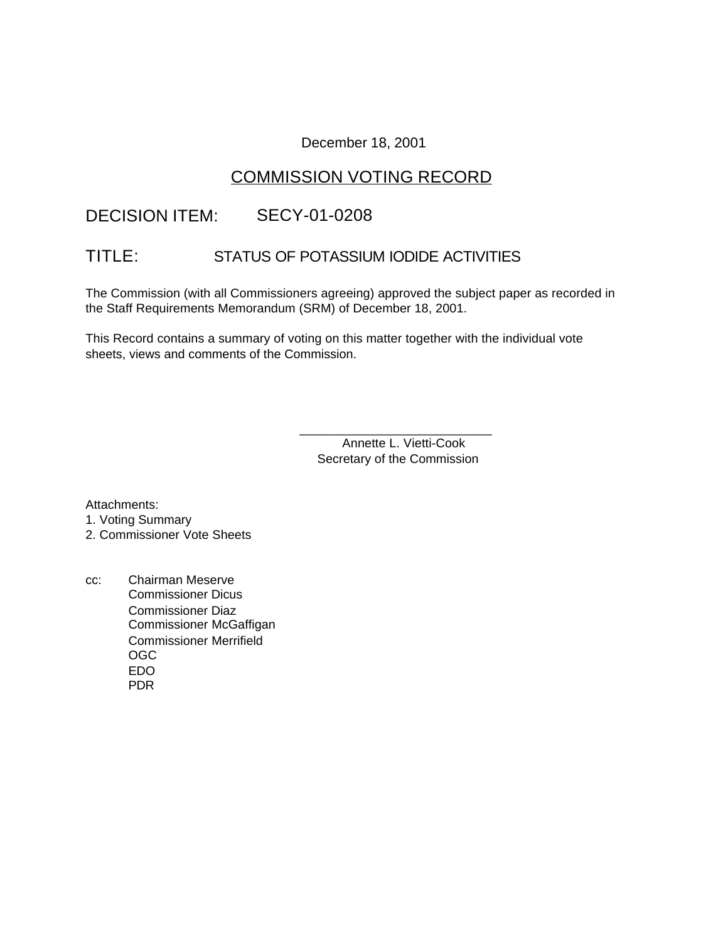## December 18, 2001

# COMMISSION VOTING RECORD

# DECISION ITEM: SECY-01-0208

# TITLE: STATUS OF POTASSIUM IODIDE ACTIVITIES

The Commission (with all Commissioners agreeing) approved the subject paper as recorded in the Staff Requirements Memorandum (SRM) of December 18, 2001.

This Record contains a summary of voting on this matter together with the individual vote sheets, views and comments of the Commission.

> Annette L. Vietti-Cook Secretary of the Commission

\_\_\_\_\_\_\_\_\_\_\_\_\_\_\_\_\_\_\_\_\_\_\_\_\_\_\_

Attachments:

1. Voting Summary

2. Commissioner Vote Sheets

cc: Chairman Meserve Commissioner Dicus Commissioner Diaz Commissioner McGaffigan Commissioner Merrifield OGC EDO PDR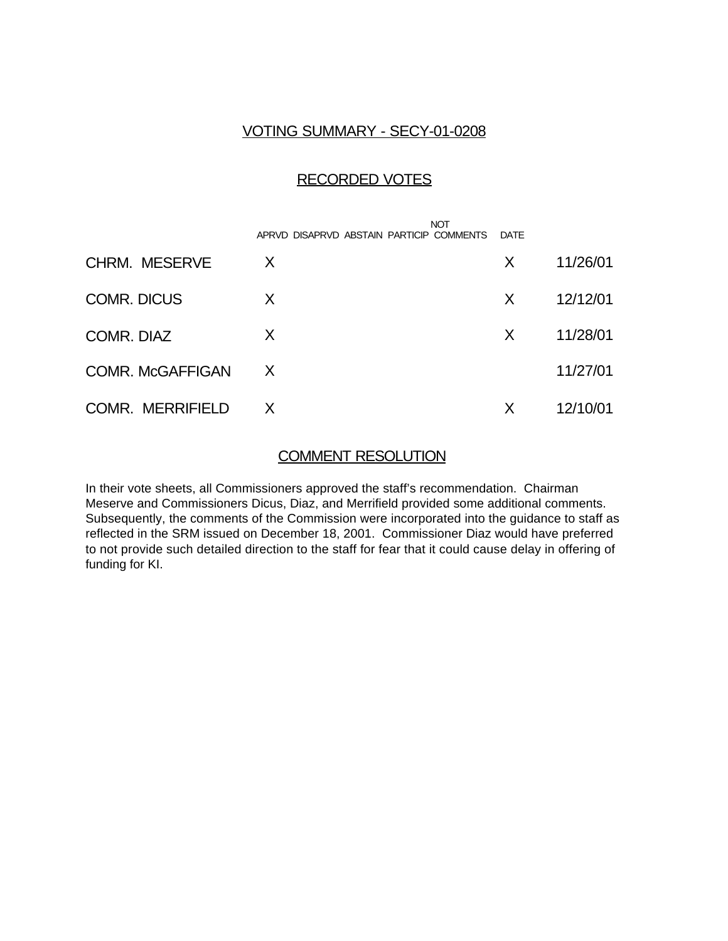## VOTING SUMMARY - SECY-01-0208

## RECORDED VOTES

|                         | APRVD DISAPRVD ABSTAIN PARTICIP COMMENTS | <b>NOT</b> | DATE |          |
|-------------------------|------------------------------------------|------------|------|----------|
| <b>CHRM. MESERVE</b>    | X                                        |            | X    | 11/26/01 |
| <b>COMR. DICUS</b>      | X                                        |            | X    | 12/12/01 |
| COMR. DIAZ              | X                                        |            | X    | 11/28/01 |
| <b>COMR. McGAFFIGAN</b> | X                                        |            |      | 11/27/01 |
| <b>COMR. MERRIFIELD</b> | X                                        |            | X    | 12/10/01 |

## COMMENT RESOLUTION

In their vote sheets, all Commissioners approved the staff's recommendation. Chairman Meserve and Commissioners Dicus, Diaz, and Merrifield provided some additional comments. Subsequently, the comments of the Commission were incorporated into the guidance to staff as reflected in the SRM issued on December 18, 2001. Commissioner Diaz would have preferred to not provide such detailed direction to the staff for fear that it could cause delay in offering of funding for KI.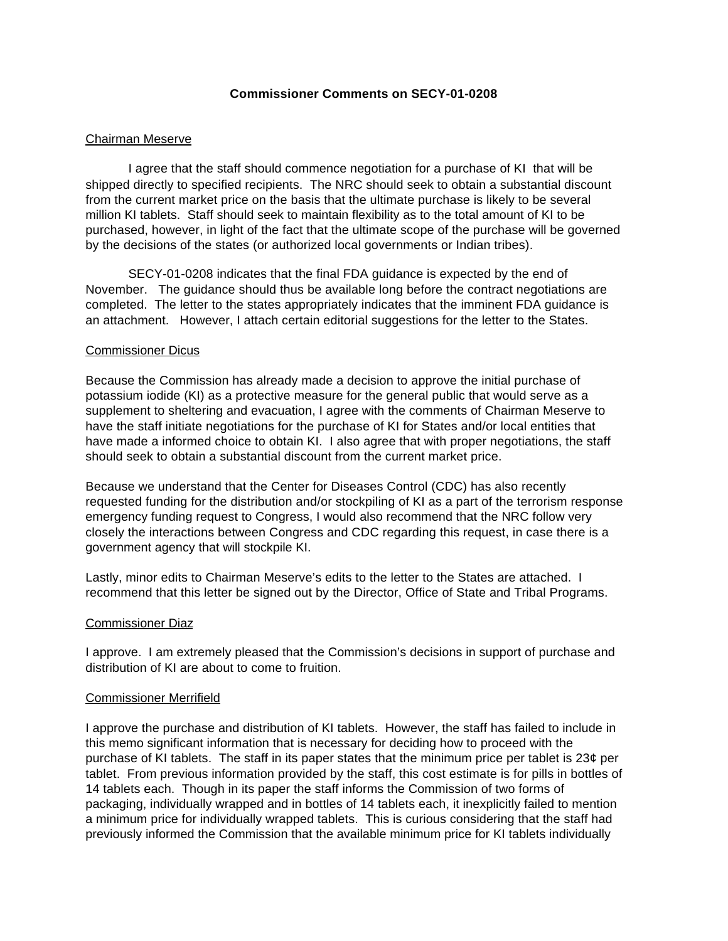### **Commissioner Comments on SECY-01-0208**

### Chairman Meserve

I agree that the staff should commence negotiation for a purchase of KI that will be shipped directly to specified recipients. The NRC should seek to obtain a substantial discount from the current market price on the basis that the ultimate purchase is likely to be several million KI tablets. Staff should seek to maintain flexibility as to the total amount of KI to be purchased, however, in light of the fact that the ultimate scope of the purchase will be governed by the decisions of the states (or authorized local governments or Indian tribes).

SECY-01-0208 indicates that the final FDA guidance is expected by the end of November. The guidance should thus be available long before the contract negotiations are completed. The letter to the states appropriately indicates that the imminent FDA guidance is an attachment. However, I attach certain editorial suggestions for the letter to the States.

### Commissioner Dicus

Because the Commission has already made a decision to approve the initial purchase of potassium iodide (KI) as a protective measure for the general public that would serve as a supplement to sheltering and evacuation, I agree with the comments of Chairman Meserve to have the staff initiate negotiations for the purchase of KI for States and/or local entities that have made a informed choice to obtain KI. I also agree that with proper negotiations, the staff should seek to obtain a substantial discount from the current market price.

Because we understand that the Center for Diseases Control (CDC) has also recently requested funding for the distribution and/or stockpiling of KI as a part of the terrorism response emergency funding request to Congress, I would also recommend that the NRC follow very closely the interactions between Congress and CDC regarding this request, in case there is a government agency that will stockpile KI.

Lastly, minor edits to Chairman Meserve's edits to the letter to the States are attached. I recommend that this letter be signed out by the Director, Office of State and Tribal Programs.

#### Commissioner Diaz

I approve. I am extremely pleased that the Commission's decisions in support of purchase and distribution of KI are about to come to fruition.

#### Commissioner Merrifield

I approve the purchase and distribution of KI tablets. However, the staff has failed to include in this memo significant information that is necessary for deciding how to proceed with the purchase of KI tablets. The staff in its paper states that the minimum price per tablet is 23¢ per tablet. From previous information provided by the staff, this cost estimate is for pills in bottles of 14 tablets each. Though in its paper the staff informs the Commission of two forms of packaging, individually wrapped and in bottles of 14 tablets each, it inexplicitly failed to mention a minimum price for individually wrapped tablets. This is curious considering that the staff had previously informed the Commission that the available minimum price for KI tablets individually